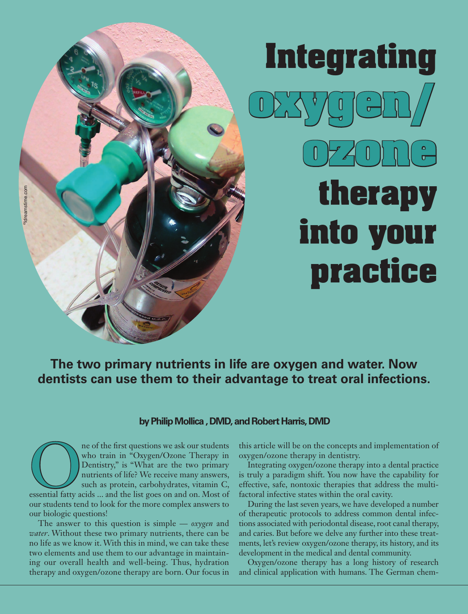# **Integrating oxyygen ozone therapy into your practice**

## **The two primary nutrients in life are oxygen and water. Now dentists can use them to their advantage to treat oral infections.**

## **by Philip Mollica , DMD, and Robert Harris, DMD**

The of the first questions we ask our students<br>
who train in "Oxygen/Ozone Therapy in<br>
Dentistry," is "What are the two primary<br>
nutrients of life? We receive many answers,<br>
such as protein, carbohydrates, vitamin C,<br>
esse who train in "Oxygen/Ozone Therapy in Dentistry," is "What are the two primary nutrients of life? We receive many answers, such as protein, carbohydrates, vitamin C, our students tend to look for the more complex answers to our biologic questions!

The answer to this question is simple — *oxygen* and *water*. Without these two primary nutrients, there can be no life as we know it. With this in mind, we can take these two elements and use them to our advantage in maintaining our overall health and well-being. Thus, hydration therapy and oxygen/ozone therapy are born. Our focus in

this article will be on the concepts and implementation of oxygen/ozone therapy in dentistry.

Integrating oxygen/ozone therapy into a dental practice is truly a paradigm shift. You now have the capability for effective, safe, nontoxic therapies that address the multifactoral infective states within the oral cavity.

During the last seven years, we have developed a number of therapeutic protocols to address common dental infections associated with periodontal disease, root canal therapy, and caries. But before we delve any further into these treatments, let's review oxygen/ozone therapy, its history, and its development in the medical and dental community.

Oxygen/ozone therapy has a long history of research and clinical application with humans. The German chem-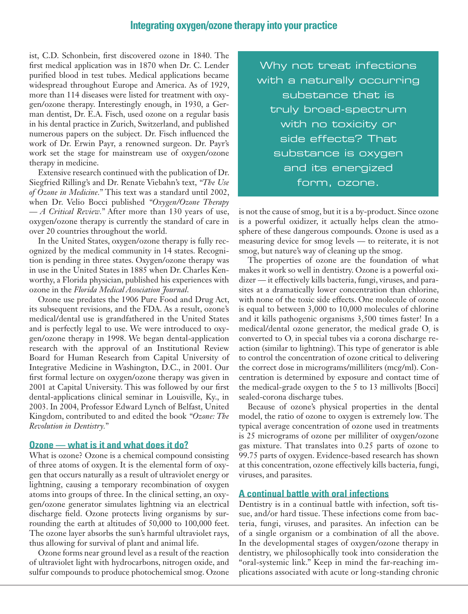## **Integrating oxygen/ozone therapy into your practice**

ist, C.D. Schonbein, first discovered ozone in 1840. The first medical application was in 1870 when Dr. C. Lender purified blood in test tubes. Medical applications became widespread throughout Europe and America. As of 1929, more than 114 diseases were listed for treatment with oxygen/ozone therapy. Interestingly enough, in 1930, a German dentist, Dr. E.A. Fisch, used ozone on a regular basis in his dental practice in Zurich, Switzerland, and published numerous papers on the subject. Dr. Fisch influenced the work of Dr. Erwin Payr, a renowned surgeon. Dr. Payr's work set the stage for mainstream use of oxygen/ozone therapy in medicine.

Extensive research continued with the publication of Dr. Siegfried Rilling's and Dr. Renate Viebahn's text, *"The Use of Ozone in Medicine."* This text was a standard until 2002, when Dr. Velio Bocci published *"Oxygen/Ozone Therapy — A Critical Review."* After more than 130 years of use, oxygen/ozone therapy is currently the standard of care in over 20 countries throughout the world.

In the United States, oxygen/ozone therapy is fully recognized by the medical community in 14 states. Recognition is pending in three states. Oxygen/ozone therapy was in use in the United States in 1885 when Dr. Charles Kenworthy, a Florida physician, published his experiences with ozone in the *Florida Medical Association Journal*.

Ozone use predates the 1906 Pure Food and Drug Act, its subsequent revisions, and the FDA. As a result, ozone's medical/dental use is grandfathered in the United States and is perfectly legal to use. We were introduced to oxygen/ozone therapy in 1998. We began dental-application research with the approval of an Institutional Review Board for Human Research from Capital University of Integrative Medicine in Washington, D.C., in 2001. Our first formal lecture on oxygen/ozone therapy was given in 2001 at Capital University. This was followed by our first dental-applications clinical seminar in Louisville, Ky., in 2003. In 2004, Professor Edward Lynch of Belfast, United Kingdom, contributed to and edited the book *"Ozone: The Revolution in Dentistry."*

## **Ozone — what is it and what does it do?**

What is ozone? Ozone is a chemical compound consisting of three atoms of oxygen. It is the elemental form of oxygen that occurs naturally as a result of ultraviolet energy or lightning, causing a temporary recombination of oxygen atoms into groups of three. In the clinical setting, an oxygen/ozone generator simulates lightning via an electrical discharge field. Ozone protects living organisms by surrounding the earth at altitudes of 50,000 to 100,000 feet. The ozone layer absorbs the sun's harmful ultraviolet rays, thus allowing for survival of plant and animal life.

Ozone forms near ground level as a result of the reaction of ultraviolet light with hydrocarbons, nitrogen oxide, and sulfur compounds to produce photochemical smog. Ozone

Why not treat infections with a naturally occurring substance that is truly broad-spectrum with no toxicity or side effects? That substance is oxygen and its energized form, ozone.

is not the cause of smog, but it is a by-product. Since ozone is a powerful oxidizer, it actually helps clean the atmosphere of these dangerous compounds. Ozone is used as a measuring device for smog levels — to reiterate, it is not smog, but nature's way of cleaning up the smog.

The properties of ozone are the foundation of what makes it work so well in dentistry. Ozone is a powerful oxidizer — it effectively kills bacteria, fungi, viruses, and parasites at a dramatically lower concentration than chlorine, with none of the toxic side effects. One molecule of ozone is equal to between 3,000 to 10,000 molecules of chlorine and it kills pathogenic organisms 3,500 times faster! In a medical/dental ozone generator, the medical grade  $O_i$  is converted to O, in special tubes via a corona discharge reaction (similar to lightning). This type of generator is able to control the concentration of ozone critical to delivering the correct dose in micrograms/milliliters (mcg/ml). Concentration is determined by exposure and contact time of the medical-grade oxygen to the 5 to 13 millivolts [Bocci] sealed-corona discharge tubes.

Because of ozone's physical properties in the dental model, the ratio of ozone to oxygen is extremely low. The typical average concentration of ozone used in treatments is 25 micrograms of ozone per milliliter of oxygen/ozone gas mixture. That translates into 0.25 parts of ozone to 99.75 parts of oxygen. Evidence-based research has shown at this concentration, ozone effectively kills bacteria, fungi, viruses, and parasites.

#### **A continual battle with oral infections**

Dentistry is in a continual battle with infection, soft tissue, and/or hard tissue. These infections come from bacteria, fungi, viruses, and parasites. An infection can be of a single organism or a combination of all the above. In the developmental stages of oxygen/ozone therapy in dentistry, we philosophically took into consideration the "oral-systemic link." Keep in mind the far-reaching implications associated with acute or long-standing chronic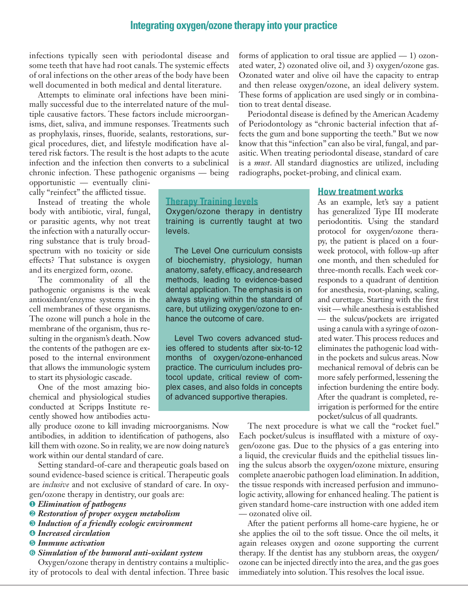## **Integrating oxygen/ozone therapy into your practice**

infections typically seen with periodontal disease and some teeth that have had root canals. The systemic effects of oral infections on the other areas of the body have been well documented in both medical and dental literature.

Attempts to eliminate oral infections have been minimally successful due to the interrelated nature of the multiple causative factors. These factors include microorganisms, diet, saliva, and immune responses. Treatments such as prophylaxis, rinses, fluoride, sealants, restorations, surgical procedures, diet, and lifestyle modification have altered risk factors. The result is the host adapts to the acute infection and the infection then converts to a subclinical chronic infection. These pathogenic organisms — being

opportunistic — eventually clinically "reinfect" the afflicted tissue.

Instead of treating the whole body with antibiotic, viral, fungal, or parasitic agents, why not treat the infection with a naturally occurring substance that is truly broadspectrum with no toxicity or side effects? That substance is oxygen and its energized form, ozone.

The commonality of all the pathogenic organisms is the weak antioxidant/enzyme systems in the cell membranes of these organisms. The ozone will punch a hole in the membrane of the organism, thus resulting in the organism's death. Now the contents of the pathogen are exposed to the internal environment that allows the immunologic system to start its physiologic cascade.

One of the most amazing biochemical and physiological studies conducted at Scripps Institute recently showed how antibodies actuated water, 2) ozonated olive oil, and 3) oxygen/ozone gas. Ozonated water and olive oil have the capacity to entrap and then release oxygen/ozone, an ideal delivery system. These forms of application are used singly or in combination to treat dental disease.

forms of application to oral tissue are applied — 1) ozon-

Periodontal disease is defined by the American Academy of Periodontology as "chronic bacterial infection that affects the gum and bone supporting the teeth." But we now know that this "infection" can also be viral, fungal, and parasitic. When treating periodontal disease, standard of care is a *must*. All standard diagnostics are utilized, including radiographs, pocket-probing, and clinical exam.

## **Therapy Training levels**

Oxygen/ozone therapy in dentistry training is currently taught at two levels.

The Level One curriculum consists of biochemistry, physiology, human anatomy, safety, efficacy, and research methods, leading to evidence-based dental application. The emphasis is on always staying within the standard of care, but utilizing oxygen/ozone to enhance the outcome of care.

Level Two covers advanced studies offered to students after six-to-12 months of oxygen/ozone-enhanced practice. The curriculum includes protocol update, critical review of complex cases, and also folds in concepts of advanced supportive therapies.

ally produce ozone to kill invading microorganisms. Now antibodies, in addition to identification of pathogens, also kill them with ozone. So in reality, we are now doing nature's work within our dental standard of care.

Setting standard-of-care and therapeutic goals based on sound evidence-based science is critical. Therapeutic goals are *inclusive* and not exclusive of standard of care. In oxygen/ozone therapy in dentistry, our goals are:

- ❶ *Elimination of pathogens*
- ❷ *Restoration of proper oxygen metabolism*
- ❸ *Induction of a friendly ecologic environment*
- ❹ *Increased circulation*
- ❺ *Immune activation*
- ❻ *Simulation of the humoral anti-oxidant system*

Oxygen/ozone therapy in dentistry contains a multiplicity of protocols to deal with dental infection. Three basic

#### **How treatment works**

As an example, let's say a patient has generalized Type III moderate periodontitis. Using the standard protocol for oxygen/ozone therapy, the patient is placed on a fourweek protocol, with follow-up after one month, and then scheduled for three-month recalls. Each week corresponds to a quadrant of dentition for anesthesia, root-planing, scaling, and curettage. Starting with the first visit — while anesthesia is established — the sulcus/pockets are irrigated using a canula with a syringe of ozonated water. This process reduces and eliminates the pathogenic load within the pockets and sulcus areas. Now mechanical removal of debris can be more safely performed, lessening the infection burdening the entire body. After the quadrant is completed, reirrigation is performed for the entire pocket/sulcus of all quadrants.

The next procedure is what we call the "rocket fuel." Each pocket/sulcus is insufflated with a mixture of oxygen/ozone gas. Due to the physics of a gas entering into a liquid, the crevicular fluids and the epithelial tissues lining the sulcus absorb the oxygen/ozone mixture, ensuring complete anaerobic pathogen load elimination. In addition, the tissue responds with increased perfusion and immunologic activity, allowing for enhanced healing. The patient is given standard home-care instruction with one added item — ozonated olive oil.

After the patient performs all home-care hygiene, he or she applies the oil to the soft tissue. Once the oil melts, it again releases oxygen and ozone supporting the current therapy. If the dentist has any stubborn areas, the oxygen/ ozone can be injected directly into the area, and the gas goes immediately into solution. This resolves the local issue.